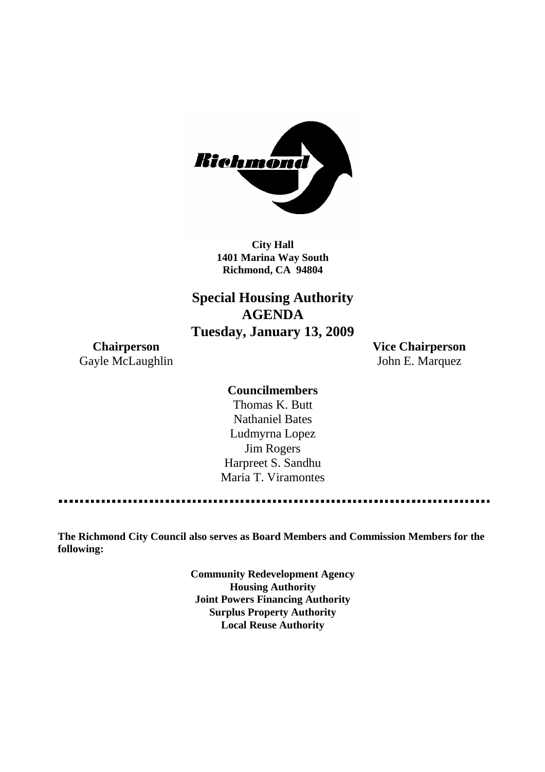

**City Hall 1401 Marina Way South Richmond, CA 94804**

## **Special Housing Authority AGENDA Tuesday, January 13, 2009**

Gayle McLaughlin John E. Marquez

**Chairperson Vice Chairperson**

# **Councilmembers**

Thomas K. Butt Nathaniel Bates Ludmyrna Lopez Jim Rogers Harpreet S. Sandhu Maria T. Viramontes

**The Richmond City Council also serves as Board Members and Commission Members for the following:**

> **Community Redevelopment Agency Housing Authority Joint Powers Financing Authority Surplus Property Authority Local Reuse Authority**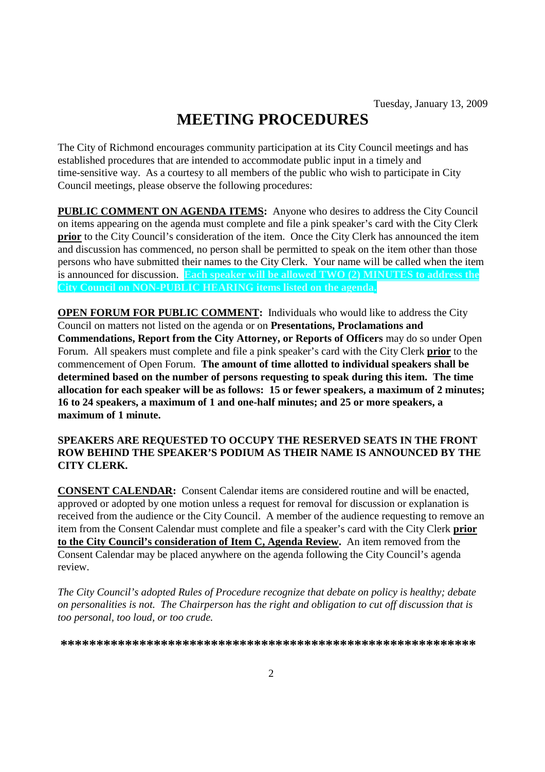# **MEETING PROCEDURES**

The City of Richmond encourages community participation at its City Council meetings and has established procedures that are intended to accommodate public input in a timely and time-sensitive way. As a courtesy to all members of the public who wish to participate in City Council meetings, please observe the following procedures:

**PUBLIC COMMENT ON AGENDA ITEMS:** Anyone who desires to address the City Council on items appearing on the agenda must complete and file a pink speaker's card with the City Clerk **prior** to the City Council's consideration of the item. Once the City Clerk has announced the item and discussion has commenced, no person shall be permitted to speak on the item other than those persons who have submitted their names to the City Clerk. Your name will be called when the item is announced for discussion. **Each speaker will be allowed TWO (2) MINUTES to address the City Council on NON-PUBLIC HEARING items listed on the agenda.**

**OPEN FORUM FOR PUBLIC COMMENT:** Individuals who would like to address the City Council on matters not listed on the agenda or on **Presentations, Proclamations and Commendations, Report from the City Attorney, or Reports of Officers** may do so under Open Forum. All speakers must complete and file a pink speaker's card with the City Clerk **prior** to the commencement of Open Forum. **The amount of time allotted to individual speakers shall be determined based on the number of persons requesting to speak during this item. The time allocation for each speaker will be as follows: 15 or fewer speakers, a maximum of 2 minutes; 16 to 24 speakers, a maximum of 1 and one-half minutes; and 25 or more speakers, a maximum of 1 minute.**

#### **SPEAKERS ARE REQUESTED TO OCCUPY THE RESERVED SEATS IN THE FRONT ROW BEHIND THE SPEAKER'S PODIUM AS THEIR NAME IS ANNOUNCED BY THE CITY CLERK.**

**CONSENT CALENDAR:** Consent Calendar items are considered routine and will be enacted, approved or adopted by one motion unless a request for removal for discussion or explanation is received from the audience or the City Council. A member of the audience requesting to remove an item from the Consent Calendar must complete and file a speaker's card with the City Clerk **prior to the City Council's consideration of Item C, Agenda Review.** An item removed from the Consent Calendar may be placed anywhere on the agenda following the City Council's agenda review.

*The City Council's adopted Rules of Procedure recognize that debate on policy is healthy; debate on personalities is not. The Chairperson has the right and obligation to cut off discussion that is too personal, too loud, or too crude.*

**\*\*\*\*\*\*\*\*\*\*\*\*\*\*\*\*\*\*\*\*\*\*\*\*\*\*\*\*\*\*\*\*\*\*\*\*\*\*\*\*\*\*\*\*\*\*\*\*\*\*\*\*\*\*\*\*\*\***